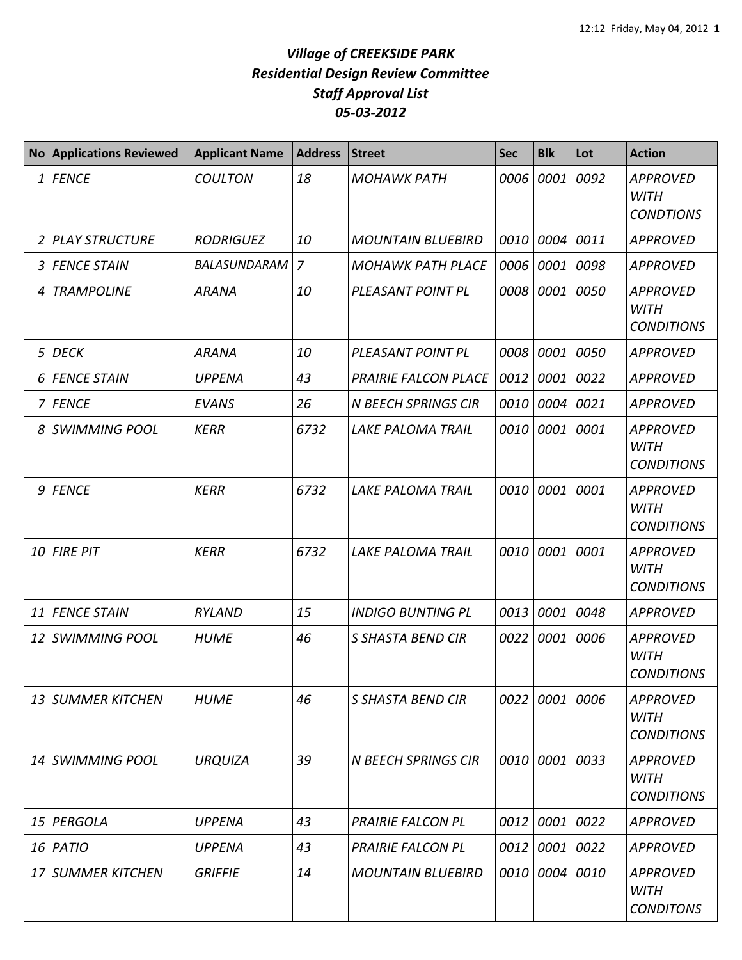| <b>No</b> | <b>Applications Reviewed</b> | <b>Applicant Name</b> | <b>Address</b> | <b>Street</b>               | <b>Sec</b> | <b>Blk</b> | Lot       | <b>Action</b>                                       |
|-----------|------------------------------|-----------------------|----------------|-----------------------------|------------|------------|-----------|-----------------------------------------------------|
| 1         | <b>FENCE</b>                 | <b>COULTON</b>        | 18             | <b>MOHAWK PATH</b>          | 0006       | 0001       | 0092      | <b>APPROVED</b><br><b>WITH</b><br><b>CONDTIONS</b>  |
| 2         | <b>PLAY STRUCTURE</b>        | <b>RODRIGUEZ</b>      | 10             | <b>MOUNTAIN BLUEBIRD</b>    | 0010       | 0004       | 0011      | APPROVED                                            |
| 3         | <b>FENCE STAIN</b>           | BALASUNDARAM          | $\overline{7}$ | <b>MOHAWK PATH PLACE</b>    | 0006       | 0001 0098  |           | <b>APPROVED</b>                                     |
| 4         | <b>TRAMPOLINE</b>            | <b>ARANA</b>          | 10             | PLEASANT POINT PL           | 0008       |            | 0001 0050 | <b>APPROVED</b><br>WITH<br><b>CONDITIONS</b>        |
| 5         | <b>DECK</b>                  | <b>ARANA</b>          | 10             | PLEASANT POINT PL           | 0008       | 0001       | 0050      | <b>APPROVED</b>                                     |
| 6         | <b>FENCE STAIN</b>           | <b>UPPENA</b>         | 43             | <b>PRAIRIE FALCON PLACE</b> | 0012       | 0001       | 0022      | APPROVED                                            |
| 7         | <b>FENCE</b>                 | <b>EVANS</b>          | 26             | <b>N BEECH SPRINGS CIR</b>  | 0010       | 0004       | 0021      | <b>APPROVED</b>                                     |
| 8         | <b>SWIMMING POOL</b>         | <b>KERR</b>           | 6732           | LAKE PALOMA TRAIL           | 0010       | 0001 0001  |           | <b>APPROVED</b><br><b>WITH</b><br><b>CONDITIONS</b> |
| 9         | <b>FENCE</b>                 | <b>KERR</b>           | 6732           | <b>LAKE PALOMA TRAIL</b>    | 0010       | 0001       | 0001      | <b>APPROVED</b><br><b>WITH</b><br><b>CONDITIONS</b> |
| 10        | <b>FIRE PIT</b>              | <b>KERR</b>           | 6732           | <b>LAKE PALOMA TRAIL</b>    | 0010       | 0001 0001  |           | <b>APPROVED</b><br><b>WITH</b><br><b>CONDITIONS</b> |
| 11        | <b>FENCE STAIN</b>           | RYLAND                | 15             | <b>INDIGO BUNTING PL</b>    | 0013       |            | 0001 0048 | <b>APPROVED</b>                                     |
| 12        | <b>SWIMMING POOL</b>         | <b>HUME</b>           | 46             | S SHASTA BEND CIR           | 0022       |            | 0001 0006 | <b>APPROVED</b><br><b>WITH</b><br><b>CONDITIONS</b> |
|           | 13 SUMMER KITCHEN            | <b>HUME</b>           | 46             | <b>S SHASTA BEND CIR</b>    | 0022       |            | 0001 0006 | <b>APPROVED</b><br><b>WITH</b><br><b>CONDITIONS</b> |
| 14        | <b>SWIMMING POOL</b>         | <b>URQUIZA</b>        | 39             | <b>N BEECH SPRINGS CIR</b>  | 0010       | 0001 0033  |           | APPROVED<br><b>WITH</b><br><b>CONDITIONS</b>        |
| 15        | PERGOLA                      | <b>UPPENA</b>         | 43             | <b>PRAIRIE FALCON PL</b>    | 0012       | 0001 0022  |           | <b>APPROVED</b>                                     |
|           | 16 PATIO                     | <b>UPPENA</b>         | 43             | <b>PRAIRIE FALCON PL</b>    | 0012       | 0001 0022  |           | APPROVED                                            |
| 17        | <b>SUMMER KITCHEN</b>        | <b>GRIFFIE</b>        | 14             | <b>MOUNTAIN BLUEBIRD</b>    | 0010       | 0004 0010  |           | <b>APPROVED</b><br>WITH<br><b>CONDITONS</b>         |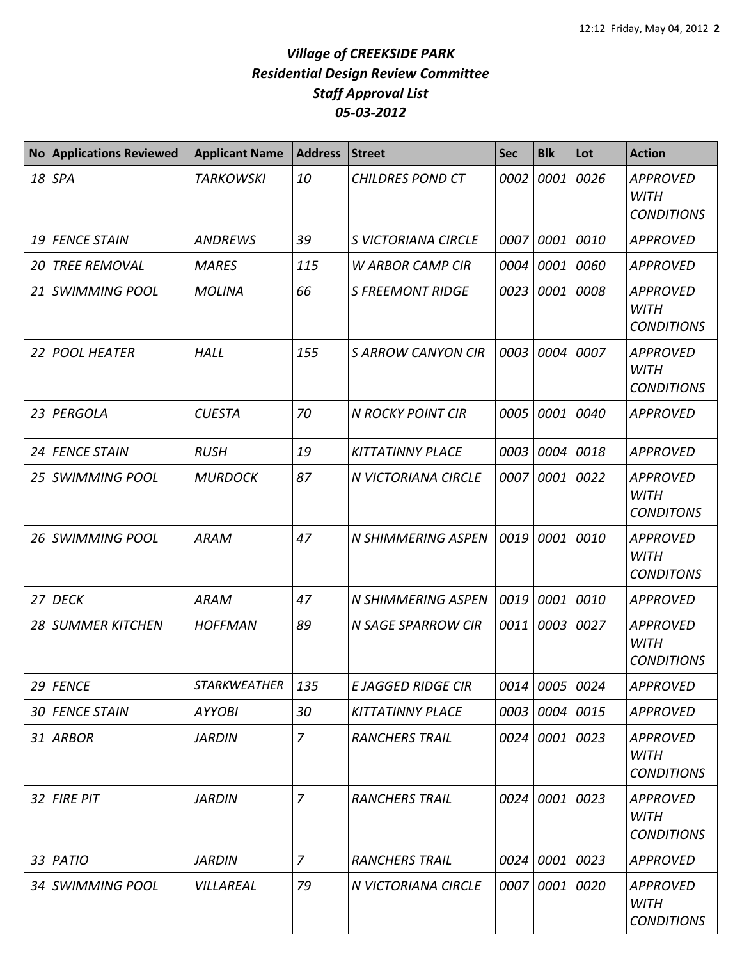| <b>No</b> | <b>Applications Reviewed</b> | <b>Applicant Name</b> | <b>Address</b> | <b>Street</b>            | <b>Sec</b> | <b>Blk</b>     | Lot       | <b>Action</b>                                       |
|-----------|------------------------------|-----------------------|----------------|--------------------------|------------|----------------|-----------|-----------------------------------------------------|
|           | $18$ SPA                     | <b>TARKOWSKI</b>      | 10             | <b>CHILDRES POND CT</b>  | 0002       | 0001           | 0026      | <b>APPROVED</b><br><b>WITH</b><br><b>CONDITIONS</b> |
| 19        | <b>FENCE STAIN</b>           | <b>ANDREWS</b>        | 39             | S VICTORIANA CIRCLE      | 0007       |                | 0001 0010 | <b>APPROVED</b>                                     |
| 20        | <b>TREE REMOVAL</b>          | <b>MARES</b>          | 115            | <b>W ARBOR CAMP CIR</b>  | 0004       |                | 0001 0060 | <b>APPROVED</b>                                     |
| 21        | <b>SWIMMING POOL</b>         | <b>MOLINA</b>         | 66             | <b>S FREEMONT RIDGE</b>  | 0023       |                | 0001 0008 | <b>APPROVED</b><br><b>WITH</b><br><b>CONDITIONS</b> |
| 22        | <b>POOL HEATER</b>           | <b>HALL</b>           | 155            | <b>SARROW CANYON CIR</b> | 0003       | 0004           | 0007      | <b>APPROVED</b><br><b>WITH</b><br><b>CONDITIONS</b> |
| 23        | PERGOLA                      | <b>CUESTA</b>         | 70             | <b>N ROCKY POINT CIR</b> | 0005       | 0001           | 0040      | <b>APPROVED</b>                                     |
| 24        | <b>FENCE STAIN</b>           | <b>RUSH</b>           | 19             | <b>KITTATINNY PLACE</b>  | 0003       | 0004           | 0018      | <b>APPROVED</b>                                     |
| 25        | <b>SWIMMING POOL</b>         | <b>MURDOCK</b>        | 87             | N VICTORIANA CIRCLE      | 0007       | 0001           | 0022      | <b>APPROVED</b><br><b>WITH</b><br><b>CONDITONS</b>  |
| 26        | <b>SWIMMING POOL</b>         | <b>ARAM</b>           | 47             | N SHIMMERING ASPEN       | 0019       | 0001           | 0010      | <b>APPROVED</b><br><b>WITH</b><br><b>CONDITONS</b>  |
| 27        | <b>DECK</b>                  | <b>ARAM</b>           | 47             | N SHIMMERING ASPEN       | 0019       | 0001           | 0010      | <b>APPROVED</b>                                     |
| 28        | <b>SUMMER KITCHEN</b>        | <b>HOFFMAN</b>        | 89             | N SAGE SPARROW CIR       | 0011       | 0003           | 0027      | <b>APPROVED</b><br><b>WITH</b><br><b>CONDITIONS</b> |
|           | $29$ FENCE                   | <b>STARKWEATHER</b>   | 135            | E JAGGED RIDGE CIR       |            | 0014 0005 0024 |           | <b>APPROVED</b>                                     |
| 30        | <b>FENCE STAIN</b>           | <b>AYYOBI</b>         | 30             | <b>KITTATINNY PLACE</b>  |            | 0003 0004 0015 |           | <b>APPROVED</b>                                     |
|           | 31 ARBOR                     | <b>JARDIN</b>         | $\overline{7}$ | <b>RANCHERS TRAIL</b>    |            | 0024 0001 0023 |           | <b>APPROVED</b><br><b>WITH</b><br><b>CONDITIONS</b> |
|           | 32 FIRE PIT                  | <b>JARDIN</b>         | $\overline{7}$ | <b>RANCHERS TRAIL</b>    |            | 0024 0001 0023 |           | <b>APPROVED</b><br><b>WITH</b><br><b>CONDITIONS</b> |
|           | 33 PATIO                     | <b>JARDIN</b>         | $\overline{7}$ | <b>RANCHERS TRAIL</b>    |            | 0024 0001 0023 |           | <b>APPROVED</b>                                     |
|           | 34 SWIMMING POOL             | VILLAREAL             | 79             | N VICTORIANA CIRCLE      | 0007       | 0001 0020      |           | <b>APPROVED</b><br><b>WITH</b><br><b>CONDITIONS</b> |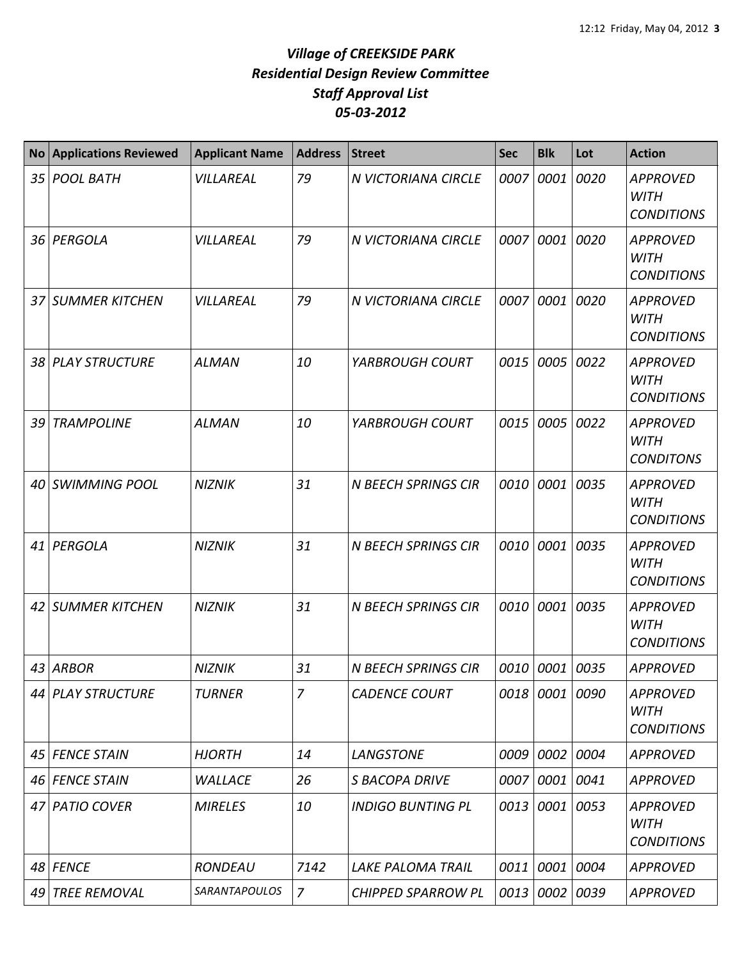| <b>No</b>       | <b>Applications Reviewed</b> | <b>Applicant Name</b> | <b>Address</b> | <b>Street</b>              | <b>Sec</b> | <b>Blk</b>     | Lot       | <b>Action</b>                                       |
|-----------------|------------------------------|-----------------------|----------------|----------------------------|------------|----------------|-----------|-----------------------------------------------------|
| 35 <sub>1</sub> | <b>POOL BATH</b>             | VILLAREAL             | 79             | N VICTORIANA CIRCLE        | 0007       | 0001           | 0020      | <b>APPROVED</b><br><b>WITH</b><br><b>CONDITIONS</b> |
| 36 I            | PERGOLA                      | VILLAREAL             | 79             | N VICTORIANA CIRCLE        | 0007       | 0001           | 0020      | <b>APPROVED</b><br><b>WITH</b><br><b>CONDITIONS</b> |
| 37              | <b>SUMMER KITCHEN</b>        | VILLAREAL             | 79             | N VICTORIANA CIRCLE        | 0007       | 0001           | 0020      | <b>APPROVED</b><br><b>WITH</b><br><b>CONDITIONS</b> |
| 38              | <b>PLAY STRUCTURE</b>        | <b>ALMAN</b>          | 10             | YARBROUGH COURT            | 0015       |                | 0005 0022 | <b>APPROVED</b><br><b>WITH</b><br><b>CONDITIONS</b> |
| 39              | <b>TRAMPOLINE</b>            | <b>ALMAN</b>          | 10             | YARBROUGH COURT            | 0015       | 0005 0022      |           | <b>APPROVED</b><br><b>WITH</b><br><b>CONDITONS</b>  |
| 40              | <b>SWIMMING POOL</b>         | <b>NIZNIK</b>         | 31             | <b>N BEECH SPRINGS CIR</b> | 0010       | 0001           | 0035      | <b>APPROVED</b><br><b>WITH</b><br><b>CONDITIONS</b> |
| 41              | PERGOLA                      | <b>NIZNIK</b>         | 31             | <b>N BEECH SPRINGS CIR</b> | 0010       | 0001           | 0035      | <b>APPROVED</b><br><b>WITH</b><br><b>CONDITIONS</b> |
| 42              | <b>SUMMER KITCHEN</b>        | <b>NIZNIK</b>         | 31             | <b>N BEECH SPRINGS CIR</b> | 0010       | 0001           | 0035      | <b>APPROVED</b><br><b>WITH</b><br><b>CONDITIONS</b> |
| 43              | <b>ARBOR</b>                 | <b>NIZNIK</b>         | 31             | <b>N BEECH SPRINGS CIR</b> | 0010       | 0001           | 0035      | <b>APPROVED</b>                                     |
|                 | 44 PLAY STRUCTURE            | <b>TURNER</b>         | 7              | <b>CADENCE COURT</b>       |            | 0018 0001 0090 |           | <b>APPROVED</b><br><b>WITH</b><br><b>CONDITIONS</b> |
| 45              | <b>FENCE STAIN</b>           | <b>HJORTH</b>         | 14             | <b>LANGSTONE</b>           | 0009       | 0002 0004      |           | <b>APPROVED</b>                                     |
| 46              | <b>FENCE STAIN</b>           | <b>WALLACE</b>        | 26             | S BACOPA DRIVE             | 0007       | 0001 0041      |           | <b>APPROVED</b>                                     |
| 471             | <b>PATIO COVER</b>           | <b>MIRELES</b>        | 10             | <b>INDIGO BUNTING PL</b>   | 0013       | 0001 0053      |           | <b>APPROVED</b><br><b>WITH</b><br><b>CONDITIONS</b> |
| 48              | <b>FENCE</b>                 | RONDEAU               | 7142           | LAKE PALOMA TRAIL          | 0011       | 0001 0004      |           | <b>APPROVED</b>                                     |
| 49              | <b>TREE REMOVAL</b>          | <b>SARANTAPOULOS</b>  | $\overline{z}$ | <b>CHIPPED SPARROW PL</b>  | 0013       | 0002 0039      |           | <b>APPROVED</b>                                     |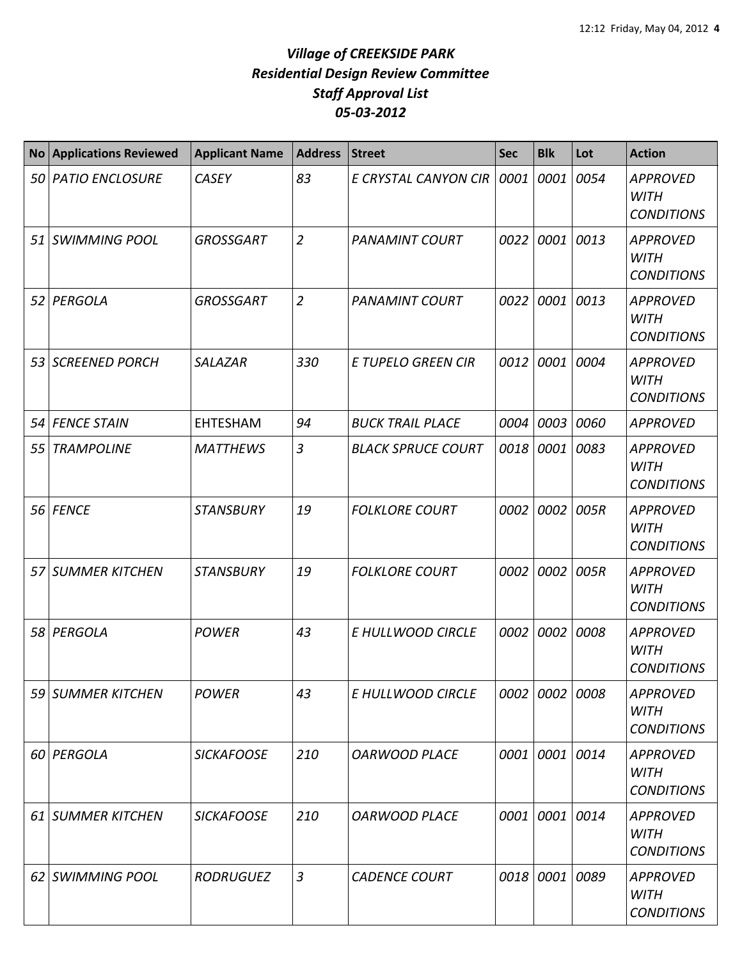| <b>No</b> | <b>Applications Reviewed</b> | <b>Applicant Name</b> | <b>Address</b> | <b>Street</b>             | <b>Sec</b> | <b>Blk</b>     | Lot       | <b>Action</b>                                       |
|-----------|------------------------------|-----------------------|----------------|---------------------------|------------|----------------|-----------|-----------------------------------------------------|
| 50 l      | <b>PATIO ENCLOSURE</b>       | <b>CASEY</b>          | 83             | E CRYSTAL CANYON CIR      | 0001       | 0001           | 0054      | <b>APPROVED</b><br><b>WITH</b><br><b>CONDITIONS</b> |
|           | 51 SWIMMING POOL             | <b>GROSSGART</b>      | $\overline{2}$ | <b>PANAMINT COURT</b>     | 0022       |                | 0001 0013 | <b>APPROVED</b><br><b>WITH</b><br><b>CONDITIONS</b> |
| 52        | PERGOLA                      | <b>GROSSGART</b>      | $\overline{2}$ | <b>PANAMINT COURT</b>     | 0022       | 0001           | 0013      | <b>APPROVED</b><br><b>WITH</b><br><b>CONDITIONS</b> |
| 53        | <b>SCREENED PORCH</b>        | <b>SALAZAR</b>        | 330            | <b>E TUPELO GREEN CIR</b> | 0012       | 0001           | 0004      | <b>APPROVED</b><br><b>WITH</b><br><b>CONDITIONS</b> |
| 54        | <b>FENCE STAIN</b>           | <b>EHTESHAM</b>       | 94             | <b>BUCK TRAIL PLACE</b>   | 0004       |                | 0003 0060 | <b>APPROVED</b>                                     |
| 55        | <b>TRAMPOLINE</b>            | <b>MATTHEWS</b>       | $\overline{3}$ | <b>BLACK SPRUCE COURT</b> | 0018       | 0001           | 0083      | <b>APPROVED</b><br><b>WITH</b><br><b>CONDITIONS</b> |
| 56        | <b>FENCE</b>                 | <b>STANSBURY</b>      | 19             | <b>FOLKLORE COURT</b>     | 0002       | 0002           | 005R      | <b>APPROVED</b><br><b>WITH</b><br><b>CONDITIONS</b> |
|           | 57 SUMMER KITCHEN            | <b>STANSBURY</b>      | 19             | <b>FOLKLORE COURT</b>     | 0002       |                | 0002 005R | <b>APPROVED</b><br><b>WITH</b><br><b>CONDITIONS</b> |
| 58        | PERGOLA                      | <b>POWER</b>          | 43             | E HULLWOOD CIRCLE         | 0002       | 0002           | 0008      | <b>APPROVED</b><br><b>WITH</b><br><b>CONDITIONS</b> |
|           | 59 SUMMER KITCHEN            | <b>POWER</b>          | 43             | E HULLWOOD CIRCLE         |            | 0002 0002 0008 |           | <b>APPROVED</b><br><b>WITH</b><br><b>CONDITIONS</b> |
|           | 60 PERGOLA                   | <b>SICKAFOOSE</b>     | 210            | <b>OARWOOD PLACE</b>      |            | 0001 0001 0014 |           | <b>APPROVED</b><br><b>WITH</b><br><b>CONDITIONS</b> |
|           | 61 SUMMER KITCHEN            | <b>SICKAFOOSE</b>     | 210            | <b>OARWOOD PLACE</b>      | 0001       | 0001 0014      |           | <b>APPROVED</b><br><b>WITH</b><br><b>CONDITIONS</b> |
|           | 62 SWIMMING POOL             | <b>RODRUGUEZ</b>      | $\mathfrak{Z}$ | <b>CADENCE COURT</b>      |            | 0018 0001 0089 |           | <b>APPROVED</b><br><b>WITH</b><br><b>CONDITIONS</b> |